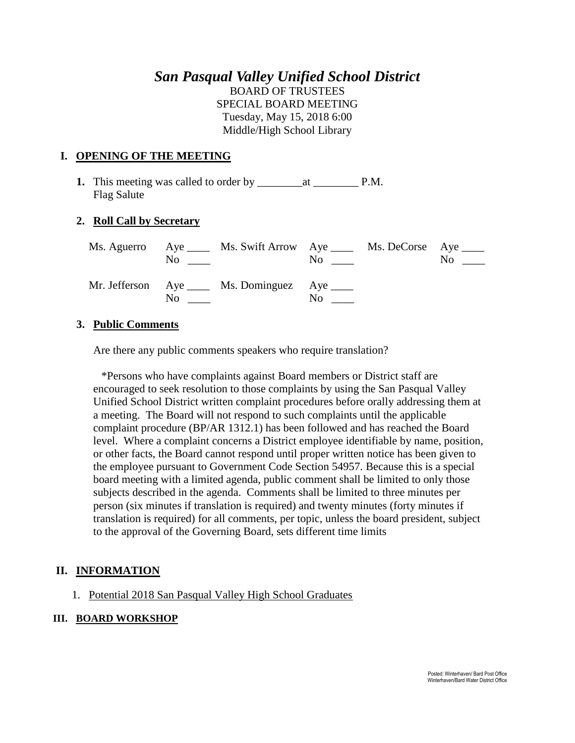# *San Pasqual Valley Unified School District* BOARD OF TRUSTEES SPECIAL BOARD MEETING Tuesday, May 15, 2018 6:00

Middle/High School Library

### **I. OPENING OF THE MEETING**

**1.** This meeting was called to order by \_\_\_\_\_\_\_\_at \_\_\_\_\_\_\_\_ P.M. Flag Salute

## **2. Roll Call by Secretary**

|                   | Ms. Aguerro Aye _____ Ms. Swift Arrow Aye _____ Ms. DeCorse Aye _____<br>$\overline{N}$ $\overline{N}$ | $\overline{\text{No}}$ $\overline{\phantom{0}}$ | $\mathrm{No} \ \_\_\_\$ |
|-------------------|--------------------------------------------------------------------------------------------------------|-------------------------------------------------|-------------------------|
| $\rm No$ $\qquad$ | Mr. Jefferson Aye _____ Ms. Dominguez Aye _____                                                        | $\rm No$                                        |                         |

#### **3. Public Comments**

Are there any public comments speakers who require translation?

\*Persons who have complaints against Board members or District staff are encouraged to seek resolution to those complaints by using the San Pasqual Valley Unified School District written complaint procedures before orally addressing them at a meeting. The Board will not respond to such complaints until the applicable complaint procedure (BP/AR 1312.1) has been followed and has reached the Board level. Where a complaint concerns a District employee identifiable by name, position, or other facts, the Board cannot respond until proper written notice has been given to the employee pursuant to Government Code Section 54957. Because this is a special board meeting with a limited agenda, public comment shall be limited to only those subjects described in the agenda. Comments shall be limited to three minutes per person (six minutes if translation is required) and twenty minutes (forty minutes if translation is required) for all comments, per topic, unless the board president, subject to the approval of the Governing Board, sets different time limits

## **II. INFORMATION**

1. Potential 2018 San Pasqual Valley High School Graduates

#### **III. BOARD WORKSHOP**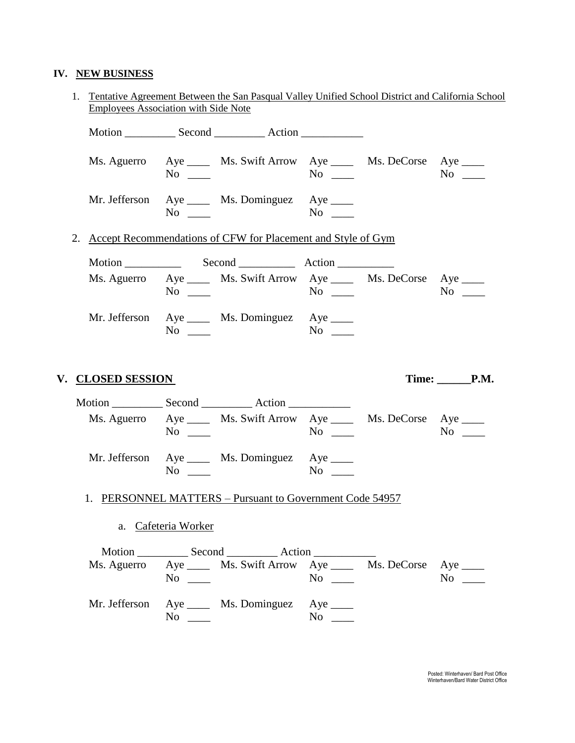# **IV. NEW BUSINESS**

|  |                                                                 | 1. Tentative Agreement Between the San Pasqual Valley Unified School District and California School<br><b>Employees Association with Side Note</b> |                     |                                                                                                                                                           |                        |  |            |  |
|--|-----------------------------------------------------------------|----------------------------------------------------------------------------------------------------------------------------------------------------|---------------------|-----------------------------------------------------------------------------------------------------------------------------------------------------------|------------------------|--|------------|--|
|  |                                                                 |                                                                                                                                                    |                     |                                                                                                                                                           |                        |  |            |  |
|  |                                                                 |                                                                                                                                                    | $No \_$             | Ms. Aguerro Aye _____ Ms. Swift Arrow Aye _____ Ms. DeCorse Aye _____                                                                                     | $No \_\_$              |  | $No \t —$  |  |
|  |                                                                 |                                                                                                                                                    | $No \ \_$           | Mr. Jefferson Aye _____ Ms. Dominguez Aye ____                                                                                                            |                        |  |            |  |
|  | 2. Accept Recommendations of CFW for Placement and Style of Gym |                                                                                                                                                    |                     |                                                                                                                                                           |                        |  |            |  |
|  |                                                                 |                                                                                                                                                    |                     |                                                                                                                                                           |                        |  |            |  |
|  |                                                                 |                                                                                                                                                    | $No \_$             | Ms. Aguerro Aye _____ Ms. Swift Arrow Aye _____ Ms. DeCorse Aye ____                                                                                      | $No \_$                |  | $No \ \_$  |  |
|  |                                                                 |                                                                                                                                                    | No                  | Mr. Jefferson Aye _____ Ms. Dominguez Aye _____                                                                                                           | $\mathbf{N}\mathbf{o}$ |  |            |  |
|  |                                                                 |                                                                                                                                                    |                     |                                                                                                                                                           |                        |  |            |  |
|  |                                                                 | V. CLOSED SESSION                                                                                                                                  |                     |                                                                                                                                                           |                        |  | Time: P.M. |  |
|  |                                                                 |                                                                                                                                                    | $No \ \_$           | Ms. Aguerro Aye _____ Ms. Swift Arrow Aye _____ Ms. DeCorse Aye ____                                                                                      |                        |  | $No \ \_$  |  |
|  |                                                                 |                                                                                                                                                    | $No \_\_$           | Mr. Jefferson Aye _____ Ms. Dominguez Aye _____                                                                                                           |                        |  |            |  |
|  |                                                                 |                                                                                                                                                    |                     | 1. PERSONNEL MATTERS – Pursuant to Government Code 54957                                                                                                  |                        |  |            |  |
|  |                                                                 |                                                                                                                                                    | a. Cafeteria Worker |                                                                                                                                                           |                        |  |            |  |
|  |                                                                 |                                                                                                                                                    |                     |                                                                                                                                                           |                        |  |            |  |
|  |                                                                 |                                                                                                                                                    | $No \ \_$           | Motion _____________ Second _______________ Action ______________________________<br>Ms. Aguerro Aye _____ Ms. Swift Arrow Aye _____ Ms. DeCorse Aye ____ | $No \_$                |  | $No \_$    |  |